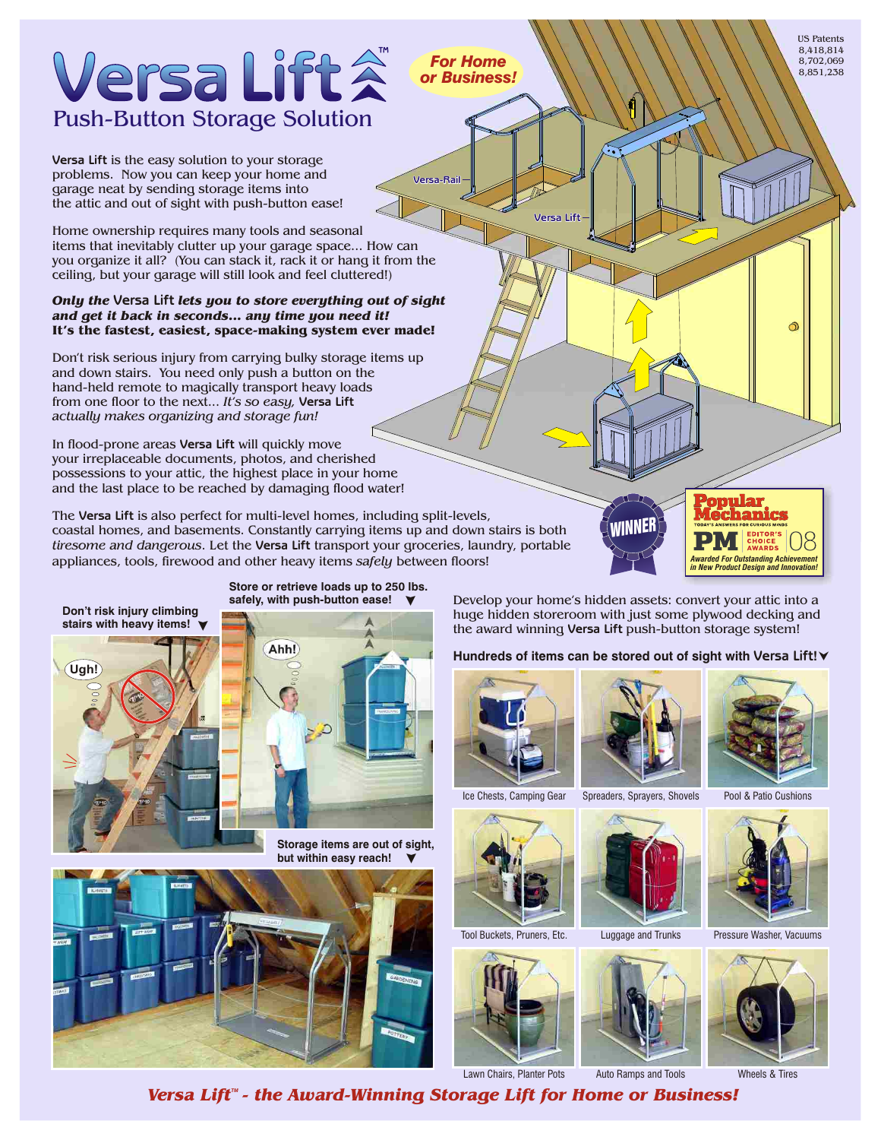# Versa Lift Push-Button Storage Solution

**Versa Lift** is the easy solution to your storage the attic and out of sight with push-button ease! problems. Now you can keep your home and garage neat by sending storage items into

Home ownership requires many tools and seasonal items that inevitably clutter up your garage space... How can you organize it all? (You can stack it, rack it or hang it from the ceiling, but your garage will still look and feel cluttered!)

## **Versa Lift** *Only the lets you to store everything out of sight* It's the fastest, easiest, space-making system ever made! *and get it back in seconds... any time you need it!*

from one floor to the next... *It's so easy,* Versa Lift Don't risk serious injury from carrying bulky storage items up and down stairs. You need only push a button on the hand-held remote to magically transport heavy loads *actually makes organizing and storage fun!*

In flood-prone areas **Versa Lift** will quickly move your irreplaceable documents, photos, and cherished possessions to your attic, the highest place in your home and the last place to be reached by damaging flood water!

**Ugh!**

The **Versa Lift** is also perfect for multi-level homes, including split-levels, coastal homes, and basements. Constantly carrying items up and down stairs is both *tiresome and dangerous*. Let the **Versa Lift** transport your groceries, laundry, portable appliances, tools, firewood and other heavy items *safely* between floors!

**Store or retrieve loads up to 250 lbs.**

**Storage items are out of sight, but within easy reach!**



**with push-button ease! safely, Don't risk injury climbing stairs with heavy items!** > Ahh!

▼ Develop your home's hidden assets: convert your attic into a huge hidden storeroom with just some plywood decking and the award winning **Versa Lift** push-button storage system!

**Versa-Rail**

*For Home or Business!*





**Versa Lift**



Luggage and Trunks

US Patents 8,418,814 8,702,069 8,851,238



Tool Buckets, Pruners, Etc. Luggage and Trunks Pressure Washer, Vacuums



Lawn Chairs, Planter Pots Auto Ramps and Tools Wheels & Tires Versa Lift<sup>"</sup> - the Award-Winning Storage Lift for Home or Business!

>